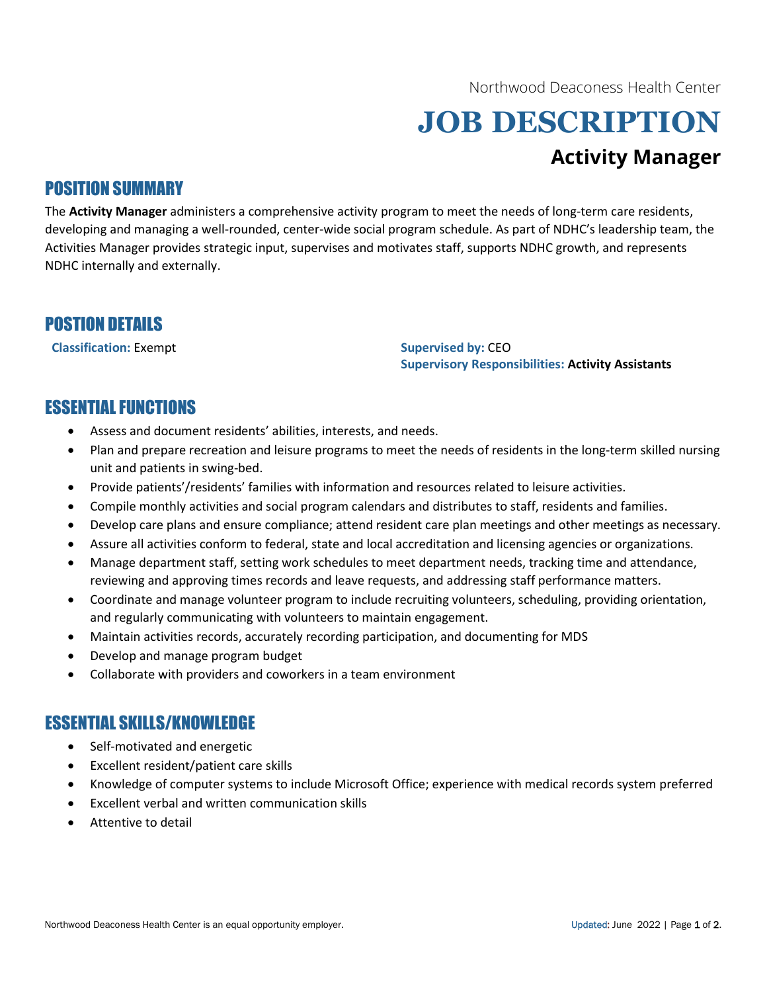Northwood Deaconess Health Center

# JOB DESCRIPTION Activity Manager

# POSITION SUMMARY

The Activity Manager administers a comprehensive activity program to meet the needs of long-term care residents, developing and managing a well-rounded, center-wide social program schedule. As part of NDHC's leadership team, the Activities Manager provides strategic input, supervises and motivates staff, supports NDHC growth, and represents NDHC internally and externally.

### POSTION DETAILS

Classification: Exempt Supervised by: CEO

Supervisory Responsibilities: Activity Assistants

# ESSENTIAL FUNCTIONS

- Assess and document residents' abilities, interests, and needs.
- Plan and prepare recreation and leisure programs to meet the needs of residents in the long-term skilled nursing unit and patients in swing-bed.
- Provide patients'/residents' families with information and resources related to leisure activities.
- Compile monthly activities and social program calendars and distributes to staff, residents and families.
- Develop care plans and ensure compliance; attend resident care plan meetings and other meetings as necessary.
- Assure all activities conform to federal, state and local accreditation and licensing agencies or organizations.
- Manage department staff, setting work schedules to meet department needs, tracking time and attendance, reviewing and approving times records and leave requests, and addressing staff performance matters.
- Coordinate and manage volunteer program to include recruiting volunteers, scheduling, providing orientation, and regularly communicating with volunteers to maintain engagement.
- Maintain activities records, accurately recording participation, and documenting for MDS
- Develop and manage program budget
- Collaborate with providers and coworkers in a team environment

## ESSENTIAL SKILLS/KNOWLEDGE

- Self-motivated and energetic
- Excellent resident/patient care skills
- Knowledge of computer systems to include Microsoft Office; experience with medical records system preferred
- Excellent verbal and written communication skills
- Attentive to detail